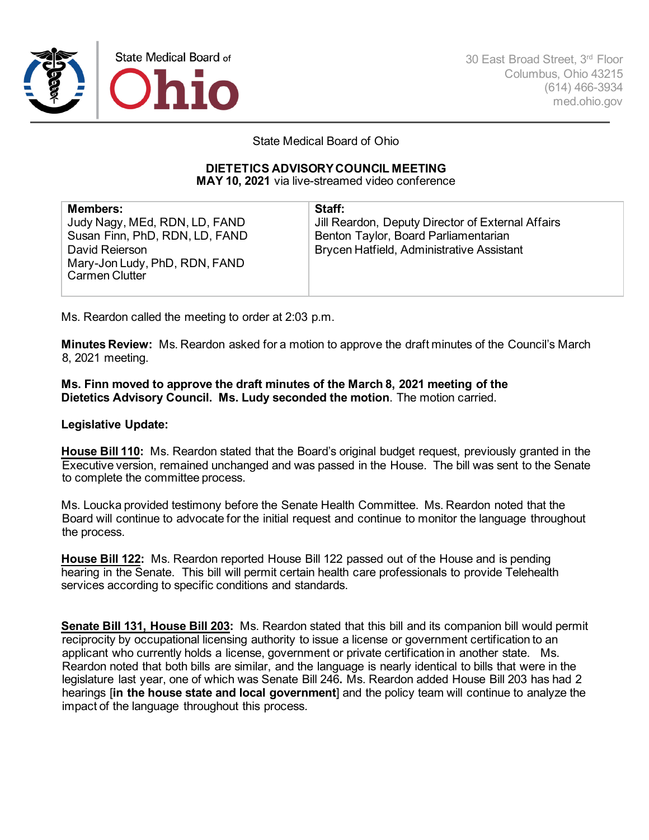

30 East Broad Street, 3rd Floor Columbus, Ohio 43215 (614) 466-3934 med.ohio.gov

State Medical Board of Ohio

## **DIETETICS ADVISORY COUNCIL MEETING**

**MAY 10, 2021** via live-streamed video conference

| <b>Members:</b>                | Staff:                                            |
|--------------------------------|---------------------------------------------------|
| Judy Nagy, MEd, RDN, LD, FAND  | Jill Reardon, Deputy Director of External Affairs |
| Susan Finn, PhD, RDN, LD, FAND | Benton Taylor, Board Parliamentarian              |
| David Reierson                 | Brycen Hatfield, Administrative Assistant         |
| Mary-Jon Ludy, PhD, RDN, FAND  |                                                   |
| <b>Carmen Clutter</b>          |                                                   |
|                                |                                                   |

Ms. Reardon called the meeting to order at 2:03 p.m.

**Minutes Review:** Ms. Reardon asked for a motion to approve the draft minutes of the Council's March 8, 2021 meeting.

**Ms. Finn moved to approve the draft minutes of the March 8, 2021 meeting of the Dietetics Advisory Council. Ms. Ludy seconded the motion**. The motion carried.

## **Legislative Update:**

**House Bill 110:** Ms. Reardon stated that the Board's original budget request, previously granted in the Executive version, remained unchanged and was passed in the House. The bill was sent to the Senate to complete the committee process.

Ms. Loucka provided testimony before the Senate Health Committee. Ms. Reardon noted that the Board will continue to advocate for the initial request and continue to monitor the language throughout the process.

**House Bill 122:** Ms. Reardon reported House Bill 122 passed out of the House and is pending hearing in the Senate. This bill will permit certain health care professionals to provide Telehealth services according to specific conditions and standards.

**Senate Bill 131, House Bill 203:** Ms. Reardon stated that this bill and its companion bill would permit reciprocity by occupational licensing authority to issue a license or government certification to an applicant who currently holds a license, government or private certification in another state. Ms. Reardon noted that both bills are similar, and the language is nearly identical to bills that were in the legislature last year, one of which was Senate Bill 246**.** Ms. Reardon added House Bill 203 has had 2 hearings [**in the house state and local government**] and the policy team will continue to analyze the impact of the language throughout this process.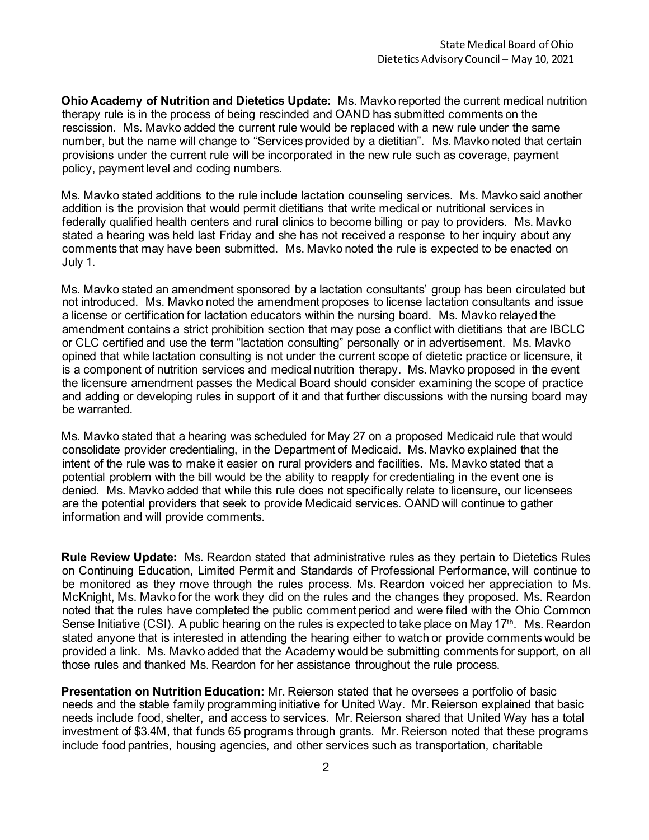**Ohio Academy of Nutrition and Dietetics Update:** Ms. Mavko reported the current medical nutrition therapy rule is in the process of being rescinded and OAND has submitted comments on the rescission. Ms. Mavko added the current rule would be replaced with a new rule under the same number, but the name will change to "Services provided by a dietitian". Ms. Mavko noted that certain provisions under the current rule will be incorporated in the new rule such as coverage, payment policy, payment level and coding numbers.

Ms. Mavko stated additions to the rule include lactation counseling services. Ms. Mavko said another addition is the provision that would permit dietitians that write medical or nutritional services in federally qualified health centers and rural clinics to become billing or pay to providers. Ms. Mavko stated a hearing was held last Friday and she has not received a response to her inquiry about any comments that may have been submitted. Ms. Mavko noted the rule is expected to be enacted on July 1.

Ms. Mavko stated an amendment sponsored by a lactation consultants' group has been circulated but not introduced. Ms. Mavko noted the amendment proposes to license lactation consultants and issue a license or certification for lactation educators within the nursing board. Ms. Mavko relayed the amendment contains a strict prohibition section that may pose a conflict with dietitians that are IBCLC or CLC certified and use the term "lactation consulting" personally or in advertisement.Ms. Mavko opined that while lactation consulting is not under the current scope of dietetic practice or licensure, it is a component of nutrition services and medical nutrition therapy. Ms. Mavko proposed in the event the licensure amendment passes the Medical Board should consider examining the scope of practice and adding or developing rules in support of it and that further discussions with the nursing board may be warranted.

Ms. Mavko stated that a hearing was scheduled for May 27 on a proposed Medicaid rule that would consolidate provider credentialing, in the Department of Medicaid. Ms. Mavko explained that the intent of the rule was to make it easier on rural providers and facilities. Ms. Mavko stated that a potential problem with the bill would be the ability to reapply for credentialing in the event one is denied. Ms. Mavko added that while this rule does not specifically relate to licensure, our licensees are the potential providers that seek to provide Medicaid services. OAND will continue to gather information and will provide comments.

**Rule Review Update:** Ms. Reardon stated that administrative rules as they pertain to Dietetics Rules on Continuing Education, Limited Permit and Standards of Professional Performance, will continue to be monitored as they move through the rules process. Ms. Reardon voiced her appreciation to Ms. McKnight, Ms. Mavko for the work they did on the rules and the changes they proposed. Ms. Reardon noted that the rules have completed the public comment period and were filed with the Ohio Common Sense Initiative (CSI). A public hearing on the rules is expected to take place on May 17<sup>th</sup>. Ms. Reardon stated anyone that is interested in attending the hearing either to watch or provide comments would be provided a link.Ms. Mavko added that the Academy would be submitting comments for support, on all those rules and thanked Ms. Reardon for her assistance throughout the rule process.

**Presentation on Nutrition Education:** Mr. Reierson stated that he oversees a portfolio of basic needs and the stable family programming initiative for United Way. Mr. Reierson explained that basic needs include food, shelter, and access to services. Mr. Reierson shared that United Way has a total investment of \$3.4M, that funds 65 programs through grants. Mr. Reierson noted that these programs include food pantries, housing agencies, and other services such as transportation, charitable